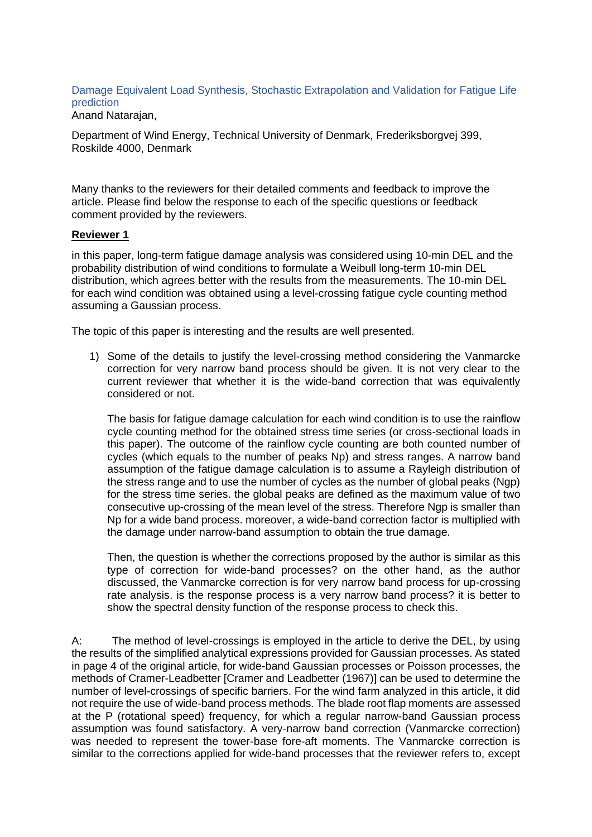Damage Equivalent Load Synthesis, Stochastic Extrapolation and Validation for Fatigue Life prediction

Anand Natarajan,

Department of Wind Energy, Technical University of Denmark, Frederiksborgvej 399, Roskilde 4000, Denmark

Many thanks to the reviewers for their detailed comments and feedback to improve the article. Please find below the response to each of the specific questions or feedback comment provided by the reviewers.

## **Reviewer 1**

in this paper, long-term fatigue damage analysis was considered using 10-min DEL and the probability distribution of wind conditions to formulate a Weibull long-term 10-min DEL distribution, which agrees better with the results from the measurements. The 10-min DEL for each wind condition was obtained using a level-crossing fatigue cycle counting method assuming a Gaussian process.

The topic of this paper is interesting and the results are well presented.

1) Some of the details to justify the level-crossing method considering the Vanmarcke correction for very narrow band process should be given. It is not very clear to the current reviewer that whether it is the wide-band correction that was equivalently considered or not.

The basis for fatigue damage calculation for each wind condition is to use the rainflow cycle counting method for the obtained stress time series (or cross-sectional loads in this paper). The outcome of the rainflow cycle counting are both counted number of cycles (which equals to the number of peaks Np) and stress ranges. A narrow band assumption of the fatigue damage calculation is to assume a Rayleigh distribution of the stress range and to use the number of cycles as the number of global peaks (Ngp) for the stress time series. the global peaks are defined as the maximum value of two consecutive up-crossing of the mean level of the stress. Therefore Ngp is smaller than Np for a wide band process. moreover, a wide-band correction factor is multiplied with the damage under narrow-band assumption to obtain the true damage.

Then, the question is whether the corrections proposed by the author is similar as this type of correction for wide-band processes? on the other hand, as the author discussed, the Vanmarcke correction is for very narrow band process for up-crossing rate analysis. is the response process is a very narrow band process? it is better to show the spectral density function of the response process to check this.

A: The method of level-crossings is employed in the article to derive the DEL, by using the results of the simplified analytical expressions provided for Gaussian processes. As stated in page 4 of the original article, for wide-band Gaussian processes or Poisson processes, the methods of Cramer-Leadbetter [Cramer and Leadbetter (1967)] can be used to determine the number of level-crossings of specific barriers. For the wind farm analyzed in this article, it did not require the use of wide-band process methods. The blade root flap moments are assessed at the P (rotational speed) frequency, for which a regular narrow-band Gaussian process assumption was found satisfactory. A very-narrow band correction (Vanmarcke correction) was needed to represent the tower-base fore-aft moments. The Vanmarcke correction is similar to the corrections applied for wide-band processes that the reviewer refers to, except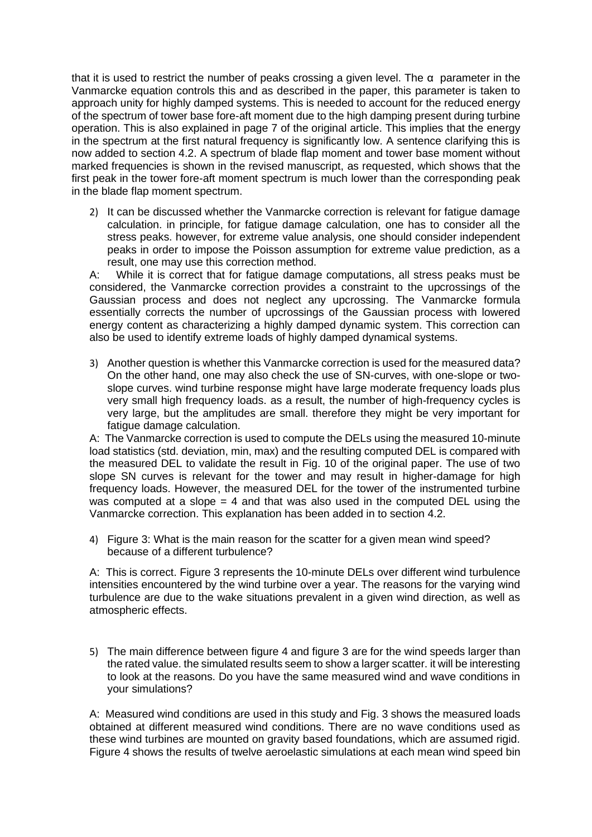that it is used to restrict the number of peaks crossing a given level. The  $\alpha$  parameter in the Vanmarcke equation controls this and as described in the paper, this parameter is taken to approach unity for highly damped systems. This is needed to account for the reduced energy of the spectrum of tower base fore-aft moment due to the high damping present during turbine operation. This is also explained in page 7 of the original article. This implies that the energy in the spectrum at the first natural frequency is significantly low. A sentence clarifying this is now added to section 4.2. A spectrum of blade flap moment and tower base moment without marked frequencies is shown in the revised manuscript, as requested, which shows that the first peak in the tower fore-aft moment spectrum is much lower than the corresponding peak in the blade flap moment spectrum.

2) It can be discussed whether the Vanmarcke correction is relevant for fatigue damage calculation. in principle, for fatigue damage calculation, one has to consider all the stress peaks. however, for extreme value analysis, one should consider independent peaks in order to impose the Poisson assumption for extreme value prediction, as a result, one may use this correction method.

A: While it is correct that for fatigue damage computations, all stress peaks must be considered, the Vanmarcke correction provides a constraint to the upcrossings of the Gaussian process and does not neglect any upcrossing. The Vanmarcke formula essentially corrects the number of upcrossings of the Gaussian process with lowered energy content as characterizing a highly damped dynamic system. This correction can also be used to identify extreme loads of highly damped dynamical systems.

3) Another question is whether this Vanmarcke correction is used for the measured data? On the other hand, one may also check the use of SN-curves, with one-slope or twoslope curves. wind turbine response might have large moderate frequency loads plus very small high frequency loads. as a result, the number of high-frequency cycles is very large, but the amplitudes are small. therefore they might be very important for fatigue damage calculation.

A: The Vanmarcke correction is used to compute the DELs using the measured 10-minute load statistics (std. deviation, min, max) and the resulting computed DEL is compared with the measured DEL to validate the result in Fig. 10 of the original paper. The use of two slope SN curves is relevant for the tower and may result in higher-damage for high frequency loads. However, the measured DEL for the tower of the instrumented turbine was computed at a slope  $= 4$  and that was also used in the computed DEL using the Vanmarcke correction. This explanation has been added in to section 4.2.

4) Figure 3: What is the main reason for the scatter for a given mean wind speed? because of a different turbulence?

A: This is correct. Figure 3 represents the 10-minute DELs over different wind turbulence intensities encountered by the wind turbine over a year. The reasons for the varying wind turbulence are due to the wake situations prevalent in a given wind direction, as well as atmospheric effects.

5) The main difference between figure 4 and figure 3 are for the wind speeds larger than the rated value. the simulated results seem to show a larger scatter. it will be interesting to look at the reasons. Do you have the same measured wind and wave conditions in your simulations?

A: Measured wind conditions are used in this study and Fig. 3 shows the measured loads obtained at different measured wind conditions. There are no wave conditions used as these wind turbines are mounted on gravity based foundations, which are assumed rigid. Figure 4 shows the results of twelve aeroelastic simulations at each mean wind speed bin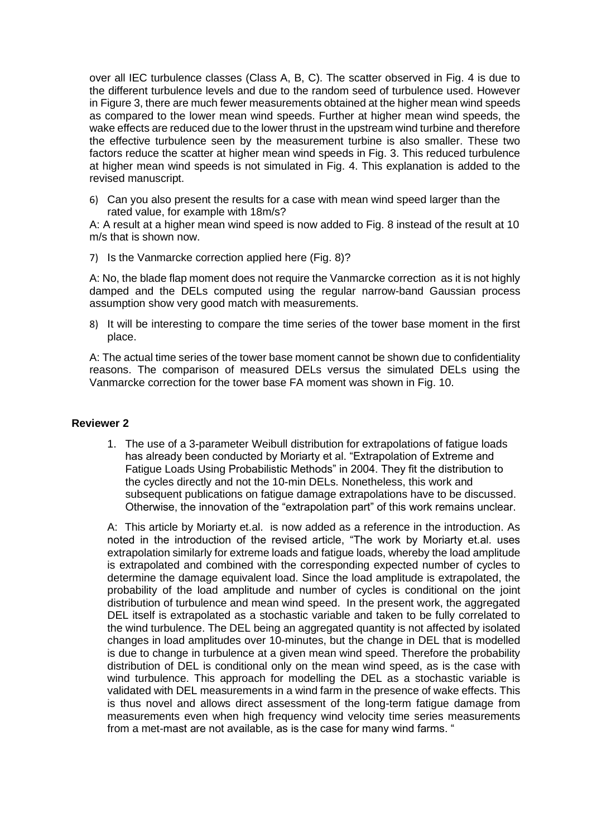over all IEC turbulence classes (Class A, B, C). The scatter observed in Fig. 4 is due to the different turbulence levels and due to the random seed of turbulence used. However in Figure 3, there are much fewer measurements obtained at the higher mean wind speeds as compared to the lower mean wind speeds. Further at higher mean wind speeds, the wake effects are reduced due to the lower thrust in the upstream wind turbine and therefore the effective turbulence seen by the measurement turbine is also smaller. These two factors reduce the scatter at higher mean wind speeds in Fig. 3. This reduced turbulence at higher mean wind speeds is not simulated in Fig. 4. This explanation is added to the revised manuscript.

6) Can you also present the results for a case with mean wind speed larger than the rated value, for example with 18m/s?

A: A result at a higher mean wind speed is now added to Fig. 8 instead of the result at 10 m/s that is shown now.

7) Is the Vanmarcke correction applied here (Fig. 8)?

A: No, the blade flap moment does not require the Vanmarcke correction as it is not highly damped and the DELs computed using the regular narrow-band Gaussian process assumption show very good match with measurements.

8) It will be interesting to compare the time series of the tower base moment in the first place.

A: The actual time series of the tower base moment cannot be shown due to confidentiality reasons. The comparison of measured DELs versus the simulated DELs using the Vanmarcke correction for the tower base FA moment was shown in Fig. 10.

## **Reviewer 2**

1. The use of a 3-parameter Weibull distribution for extrapolations of fatigue loads has already been conducted by Moriarty et al. "Extrapolation of Extreme and Fatigue Loads Using Probabilistic Methods" in 2004. They fit the distribution to the cycles directly and not the 10-min DELs. Nonetheless, this work and subsequent publications on fatigue damage extrapolations have to be discussed. Otherwise, the innovation of the "extrapolation part" of this work remains unclear.

A: This article by Moriarty et.al. is now added as a reference in the introduction. As noted in the introduction of the revised article, "The work by Moriarty et.al. uses extrapolation similarly for extreme loads and fatigue loads, whereby the load amplitude is extrapolated and combined with the corresponding expected number of cycles to determine the damage equivalent load. Since the load amplitude is extrapolated, the probability of the load amplitude and number of cycles is conditional on the joint distribution of turbulence and mean wind speed. In the present work, the aggregated DEL itself is extrapolated as a stochastic variable and taken to be fully correlated to the wind turbulence. The DEL being an aggregated quantity is not affected by isolated changes in load amplitudes over 10-minutes, but the change in DEL that is modelled is due to change in turbulence at a given mean wind speed. Therefore the probability distribution of DEL is conditional only on the mean wind speed, as is the case with wind turbulence. This approach for modelling the DEL as a stochastic variable is validated with DEL measurements in a wind farm in the presence of wake effects. This is thus novel and allows direct assessment of the long-term fatigue damage from measurements even when high frequency wind velocity time series measurements from a met-mast are not available, as is the case for many wind farms. "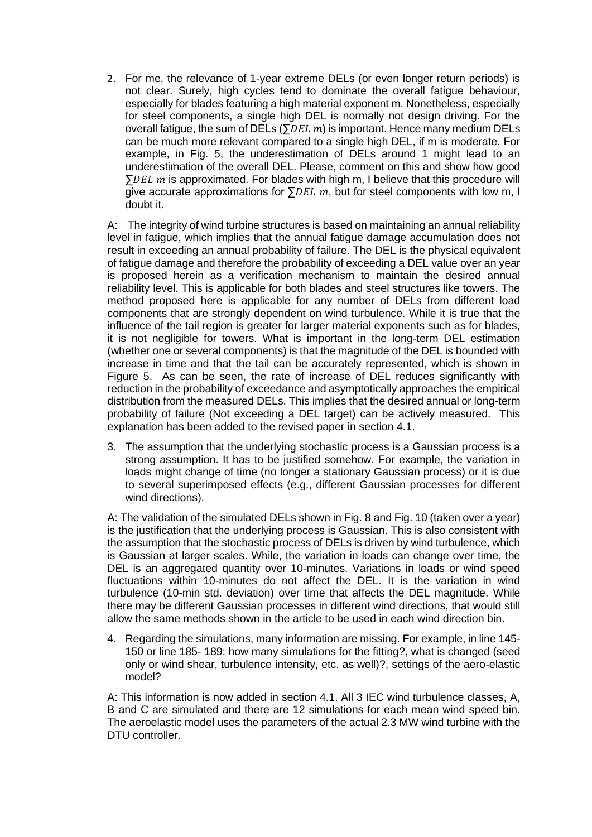2. For me, the relevance of 1-year extreme DELs (or even longer return periods) is not clear. Surely, high cycles tend to dominate the overall fatigue behaviour, especially for blades featuring a high material exponent m. Nonetheless, especially for steel components, a single high DEL is normally not design driving. For the overall fatigue, the sum of DELs ( $\Sigma DEL$  m) is important. Hence many medium DELs can be much more relevant compared to a single high DEL, if m is moderate. For example, in Fig. 5, the underestimation of DELs around 1 might lead to an underestimation of the overall DEL. Please, comment on this and show how good  $\sum DEL$  m is approximated. For blades with high m, I believe that this procedure will give accurate approximations for  $\sum E L$  m, but for steel components with low m, I doubt it.

A: The integrity of wind turbine structures is based on maintaining an annual reliability level in fatigue, which implies that the annual fatigue damage accumulation does not result in exceeding an annual probability of failure. The DEL is the physical equivalent of fatigue damage and therefore the probability of exceeding a DEL value over an year is proposed herein as a verification mechanism to maintain the desired annual reliability level. This is applicable for both blades and steel structures like towers. The method proposed here is applicable for any number of DELs from different load components that are strongly dependent on wind turbulence. While it is true that the influence of the tail region is greater for larger material exponents such as for blades, it is not negligible for towers. What is important in the long-term DEL estimation (whether one or several components) is that the magnitude of the DEL is bounded with increase in time and that the tail can be accurately represented, which is shown in Figure 5. As can be seen, the rate of increase of DEL reduces significantly with reduction in the probability of exceedance and asymptotically approaches the empirical distribution from the measured DELs. This implies that the desired annual or long-term probability of failure (Not exceeding a DEL target) can be actively measured. This explanation has been added to the revised paper in section 4.1.

3. The assumption that the underlying stochastic process is a Gaussian process is a strong assumption. It has to be justified somehow. For example, the variation in loads might change of time (no longer a stationary Gaussian process) or it is due to several superimposed effects (e.g., different Gaussian processes for different wind directions).

A: The validation of the simulated DELs shown in Fig. 8 and Fig. 10 (taken over a year) is the justification that the underlying process is Gaussian. This is also consistent with the assumption that the stochastic process of DELs is driven by wind turbulence, which is Gaussian at larger scales. While, the variation in loads can change over time, the DEL is an aggregated quantity over 10-minutes. Variations in loads or wind speed fluctuations within 10-minutes do not affect the DEL. It is the variation in wind turbulence (10-min std. deviation) over time that affects the DEL magnitude. While there may be different Gaussian processes in different wind directions, that would still allow the same methods shown in the article to be used in each wind direction bin.

4. Regarding the simulations, many information are missing. For example, in line 145- 150 or line 185- 189: how many simulations for the fitting?, what is changed (seed only or wind shear, turbulence intensity, etc. as well)?, settings of the aero-elastic model?

A: This information is now added in section 4.1. All 3 IEC wind turbulence classes, A, B and C are simulated and there are 12 simulations for each mean wind speed bin. The aeroelastic model uses the parameters of the actual 2.3 MW wind turbine with the DTU controller.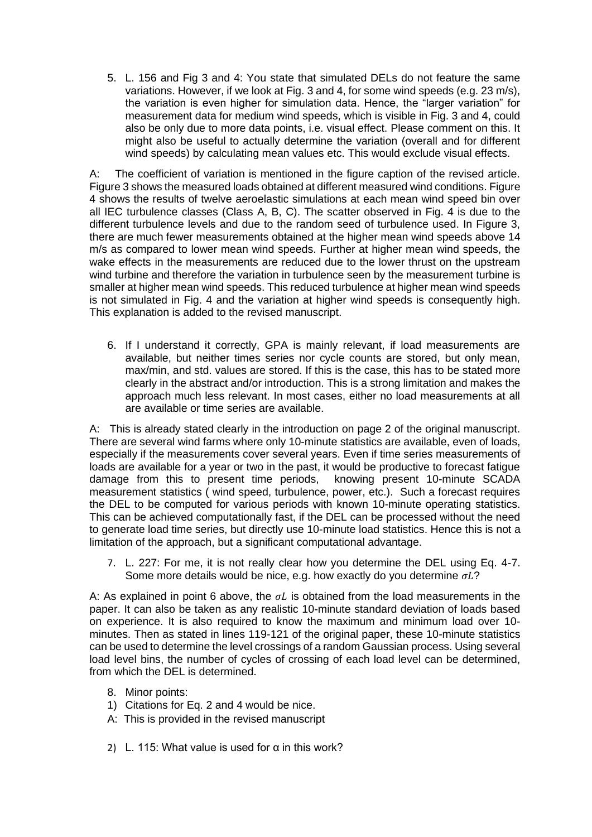5. L. 156 and Fig 3 and 4: You state that simulated DELs do not feature the same variations. However, if we look at Fig. 3 and 4, for some wind speeds (e.g. 23 m/s), the variation is even higher for simulation data. Hence, the "larger variation" for measurement data for medium wind speeds, which is visible in Fig. 3 and 4, could also be only due to more data points, i.e. visual effect. Please comment on this. It might also be useful to actually determine the variation (overall and for different wind speeds) by calculating mean values etc. This would exclude visual effects.

A: The coefficient of variation is mentioned in the figure caption of the revised article. Figure 3 shows the measured loads obtained at different measured wind conditions. Figure 4 shows the results of twelve aeroelastic simulations at each mean wind speed bin over all IEC turbulence classes (Class A, B, C). The scatter observed in Fig. 4 is due to the different turbulence levels and due to the random seed of turbulence used. In Figure 3, there are much fewer measurements obtained at the higher mean wind speeds above 14 m/s as compared to lower mean wind speeds. Further at higher mean wind speeds, the wake effects in the measurements are reduced due to the lower thrust on the upstream wind turbine and therefore the variation in turbulence seen by the measurement turbine is smaller at higher mean wind speeds. This reduced turbulence at higher mean wind speeds is not simulated in Fig. 4 and the variation at higher wind speeds is consequently high. This explanation is added to the revised manuscript.

6. If I understand it correctly, GPA is mainly relevant, if load measurements are available, but neither times series nor cycle counts are stored, but only mean, max/min, and std. values are stored. If this is the case, this has to be stated more clearly in the abstract and/or introduction. This is a strong limitation and makes the approach much less relevant. In most cases, either no load measurements at all are available or time series are available.

A: This is already stated clearly in the introduction on page 2 of the original manuscript. There are several wind farms where only 10-minute statistics are available, even of loads, especially if the measurements cover several years. Even if time series measurements of loads are available for a year or two in the past, it would be productive to forecast fatigue damage from this to present time periods, knowing present 10-minute SCADA measurement statistics ( wind speed, turbulence, power, etc.). Such a forecast requires the DEL to be computed for various periods with known 10-minute operating statistics. This can be achieved computationally fast, if the DEL can be processed without the need to generate load time series, but directly use 10-minute load statistics. Hence this is not a limitation of the approach, but a significant computational advantage.

7. L. 227: For me, it is not really clear how you determine the DEL using Eq. 4-7. Some more details would be nice, e.g. how exactly do you determine  $\sigma L$ ?

A: As explained in point 6 above, the  $\sigma L$  is obtained from the load measurements in the paper. It can also be taken as any realistic 10-minute standard deviation of loads based on experience. It is also required to know the maximum and minimum load over 10 minutes. Then as stated in lines 119-121 of the original paper, these 10-minute statistics can be used to determine the level crossings of a random Gaussian process. Using several load level bins, the number of cycles of crossing of each load level can be determined, from which the DEL is determined.

- 8. Minor points:
- 1) Citations for Eq. 2 and 4 would be nice.
- A: This is provided in the revised manuscript
- 2) L. 115: What value is used for  $\alpha$  in this work?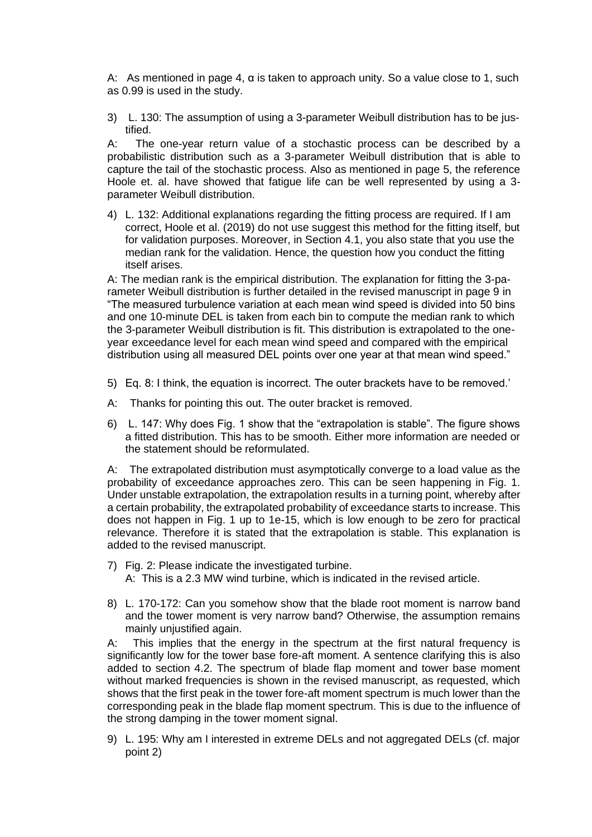A: As mentioned in page 4,  $\alpha$  is taken to approach unity. So a value close to 1, such as 0.99 is used in the study.

3) L. 130: The assumption of using a 3-parameter Weibull distribution has to be justified.

A: The one-year return value of a stochastic process can be described by a probabilistic distribution such as a 3-parameter Weibull distribution that is able to capture the tail of the stochastic process. Also as mentioned in page 5, the reference Hoole et. al. have showed that fatigue life can be well represented by using a 3 parameter Weibull distribution.

4) L. 132: Additional explanations regarding the fitting process are required. If I am correct, Hoole et al. (2019) do not use suggest this method for the fitting itself, but for validation purposes. Moreover, in Section 4.1, you also state that you use the median rank for the validation. Hence, the question how you conduct the fitting itself arises.

A: The median rank is the empirical distribution. The explanation for fitting the 3-parameter Weibull distribution is further detailed in the revised manuscript in page 9 in "The measured turbulence variation at each mean wind speed is divided into 50 bins and one 10-minute DEL is taken from each bin to compute the median rank to which the 3-parameter Weibull distribution is fit. This distribution is extrapolated to the oneyear exceedance level for each mean wind speed and compared with the empirical distribution using all measured DEL points over one year at that mean wind speed."

- 5) Eq. 8: I think, the equation is incorrect. The outer brackets have to be removed.'
- A: Thanks for pointing this out. The outer bracket is removed.
- 6) L. 147: Why does Fig. 1 show that the "extrapolation is stable". The figure shows a fitted distribution. This has to be smooth. Either more information are needed or the statement should be reformulated.

A: The extrapolated distribution must asymptotically converge to a load value as the probability of exceedance approaches zero. This can be seen happening in Fig. 1. Under unstable extrapolation, the extrapolation results in a turning point, whereby after a certain probability, the extrapolated probability of exceedance starts to increase. This does not happen in Fig. 1 up to 1e-15, which is low enough to be zero for practical relevance. Therefore it is stated that the extrapolation is stable. This explanation is added to the revised manuscript.

- 7) Fig. 2: Please indicate the investigated turbine. A: This is a 2.3 MW wind turbine, which is indicated in the revised article.
- 8) L. 170-172: Can you somehow show that the blade root moment is narrow band and the tower moment is very narrow band? Otherwise, the assumption remains mainly unjustified again.

A: This implies that the energy in the spectrum at the first natural frequency is significantly low for the tower base fore-aft moment. A sentence clarifying this is also added to section 4.2. The spectrum of blade flap moment and tower base moment without marked frequencies is shown in the revised manuscript, as requested, which shows that the first peak in the tower fore-aft moment spectrum is much lower than the corresponding peak in the blade flap moment spectrum. This is due to the influence of the strong damping in the tower moment signal.

9) L. 195: Why am I interested in extreme DELs and not aggregated DELs (cf. major point 2)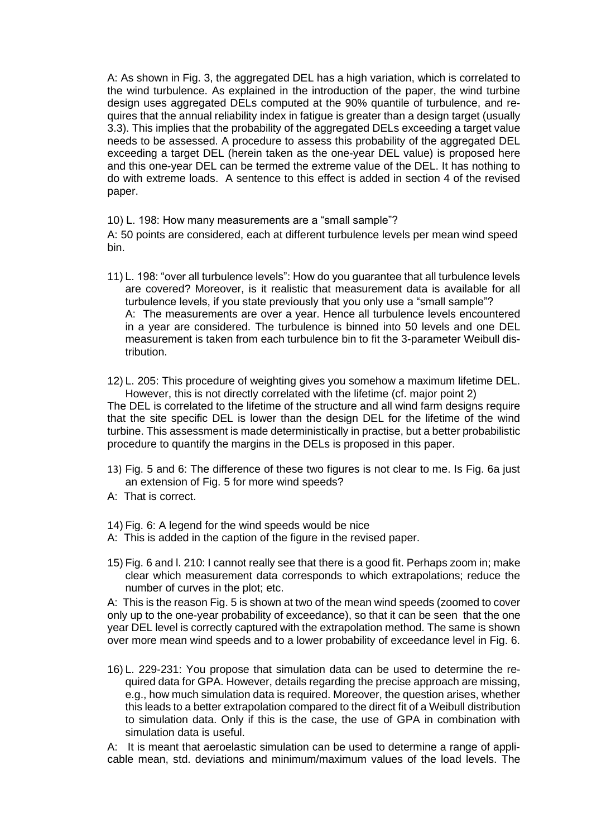A: As shown in Fig. 3, the aggregated DEL has a high variation, which is correlated to the wind turbulence. As explained in the introduction of the paper, the wind turbine design uses aggregated DELs computed at the 90% quantile of turbulence, and requires that the annual reliability index in fatigue is greater than a design target (usually 3.3). This implies that the probability of the aggregated DELs exceeding a target value needs to be assessed. A procedure to assess this probability of the aggregated DEL exceeding a target DEL (herein taken as the one-year DEL value) is proposed here and this one-year DEL can be termed the extreme value of the DEL. It has nothing to do with extreme loads. A sentence to this effect is added in section 4 of the revised paper.

10) L. 198: How many measurements are a "small sample"?

A: 50 points are considered, each at different turbulence levels per mean wind speed bin.

- 11) L. 198: "over all turbulence levels": How do you guarantee that all turbulence levels are covered? Moreover, is it realistic that measurement data is available for all turbulence levels, if you state previously that you only use a "small sample"? A: The measurements are over a year. Hence all turbulence levels encountered in a year are considered. The turbulence is binned into 50 levels and one DEL measurement is taken from each turbulence bin to fit the 3-parameter Weibull distribution.
- 12) L. 205: This procedure of weighting gives you somehow a maximum lifetime DEL. However, this is not directly correlated with the lifetime (cf. major point 2)

The DEL is correlated to the lifetime of the structure and all wind farm designs require that the site specific DEL is lower than the design DEL for the lifetime of the wind turbine. This assessment is made deterministically in practise, but a better probabilistic procedure to quantify the margins in the DELs is proposed in this paper.

- 13) Fig. 5 and 6: The difference of these two figures is not clear to me. Is Fig. 6a just an extension of Fig. 5 for more wind speeds?
- A: That is correct.
- 14) Fig. 6: A legend for the wind speeds would be nice
- A: This is added in the caption of the figure in the revised paper.
- 15) Fig. 6 and l. 210: I cannot really see that there is a good fit. Perhaps zoom in; make clear which measurement data corresponds to which extrapolations; reduce the number of curves in the plot; etc.

A: This is the reason Fig. 5 is shown at two of the mean wind speeds (zoomed to cover only up to the one-year probability of exceedance), so that it can be seen that the one year DEL level is correctly captured with the extrapolation method. The same is shown over more mean wind speeds and to a lower probability of exceedance level in Fig. 6.

16) L. 229-231: You propose that simulation data can be used to determine the required data for GPA. However, details regarding the precise approach are missing, e.g., how much simulation data is required. Moreover, the question arises, whether this leads to a better extrapolation compared to the direct fit of a Weibull distribution to simulation data. Only if this is the case, the use of GPA in combination with simulation data is useful.

A: It is meant that aeroelastic simulation can be used to determine a range of applicable mean, std. deviations and minimum/maximum values of the load levels. The